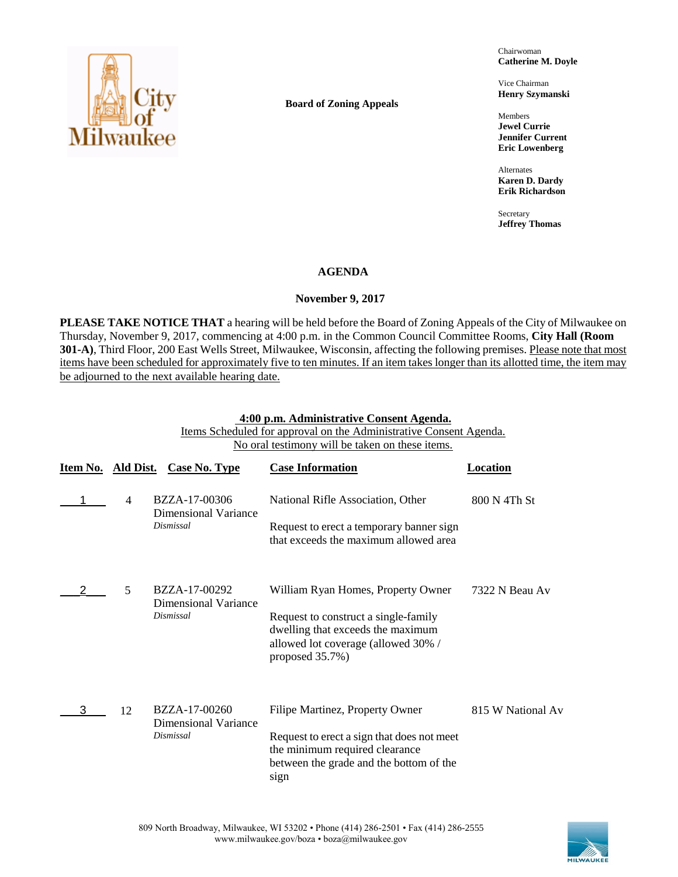

**Board of Zoning Appeals**

Chairwoman **Catherine M. Doyle**

Vice Chairman **Henry Szymanski**

Members **Jewel Currie Jennifer Current Eric Lowenberg**

Alternates **Karen D. Dardy Erik Richardson**

Secretary **Jeffrey Thomas**

# **AGENDA**

# **November 9, 2017**

**PLEASE TAKE NOTICE THAT** a hearing will be held before the Board of Zoning Appeals of the City of Milwaukee on Thursday, November 9, 2017, commencing at 4:00 p.m. in the Common Council Committee Rooms, **City Hall (Room 301-A)**, Third Floor, 200 East Wells Street, Milwaukee, Wisconsin, affecting the following premises. Please note that most items have been scheduled for approximately five to ten minutes. If an item takes longer than its allotted time, the item may be adjourned to the next available hearing date.

## **4:00 p.m. Administrative Consent Agenda.**

Items Scheduled for approval on the Administrative Consent Agenda. No oral testimony will be taken on these items.

| Item No. Ald Dist. |                | <b>Case No. Type</b>                                      | <b>Case Information</b>                                                                                                                                                   | Location          |
|--------------------|----------------|-----------------------------------------------------------|---------------------------------------------------------------------------------------------------------------------------------------------------------------------------|-------------------|
|                    | $\overline{4}$ | BZZA-17-00306<br><b>Dimensional Variance</b><br>Dismissal | National Rifle Association, Other<br>Request to erect a temporary banner sign<br>that exceeds the maximum allowed area                                                    | 800 N 4Th St      |
|                    | 5              | BZZA-17-00292<br><b>Dimensional Variance</b><br>Dismissal | William Ryan Homes, Property Owner<br>Request to construct a single-family<br>dwelling that exceeds the maximum<br>allowed lot coverage (allowed 30% /<br>proposed 35.7%) | 7322 N Beau Av    |
| 3                  | 12             | BZZA-17-00260<br><b>Dimensional Variance</b><br>Dismissal | Filipe Martinez, Property Owner<br>Request to erect a sign that does not meet<br>the minimum required clearance<br>between the grade and the bottom of the<br>sign        | 815 W National Av |

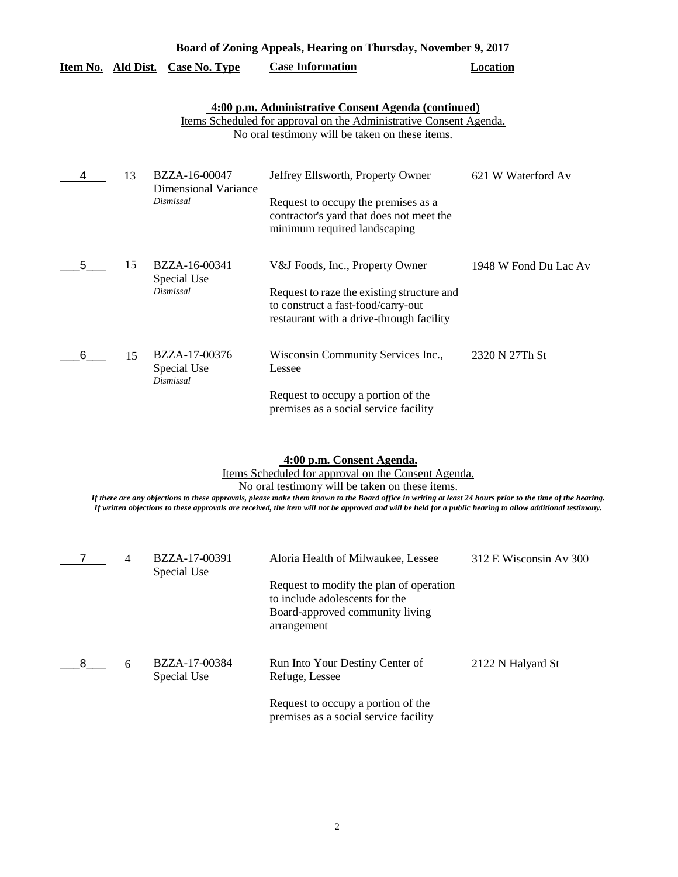|   | Board of Zoning Appeals, Hearing on Thursday, November 9, 2017 |                                                    |                                                                                                                                                                              |                       |  |
|---|----------------------------------------------------------------|----------------------------------------------------|------------------------------------------------------------------------------------------------------------------------------------------------------------------------------|-----------------------|--|
|   |                                                                | <u>Item No. Ald Dist. Case No. Type</u>            | <b>Case Information</b>                                                                                                                                                      | <b>Location</b>       |  |
|   |                                                                |                                                    | 4:00 p.m. Administrative Consent Agenda (continued)<br>Items Scheduled for approval on the Administrative Consent Agenda.<br>No oral testimony will be taken on these items. |                       |  |
|   | 13                                                             | BZZA-16-00047<br>Dimensional Variance<br>Dismissal | Jeffrey Ellsworth, Property Owner<br>Request to occupy the premises as a<br>contractor's yard that does not meet the<br>minimum required landscaping                         | 621 W Waterford Av    |  |
| 5 | 15                                                             | BZZA-16-00341<br>Special Use<br>Dismissal          | V&J Foods, Inc., Property Owner<br>Request to raze the existing structure and<br>to construct a fast-food/carry-out<br>restaurant with a drive-through facility              | 1948 W Fond Du Lac Av |  |
| 6 | 15                                                             | BZZA-17-00376<br>Special Use<br>Dismissal          | Wisconsin Community Services Inc.,<br>Lessee<br>Request to occupy a portion of the<br>premises as a social service facility                                                  | 2320 N 27Th St        |  |

**4:00 p.m. Consent Agenda.**

Items Scheduled for approval on the Consent Agenda.

No oral testimony will be taken on these items.

*If there are any objections to these approvals, please make them known to the Board office in writing at least 24 hours prior to the time of the hearing. If written objections to these approvals are received, the item will not be approved and will be held for a public hearing to allow additional testimony.*

|   | 4 | BZZA-17-00391<br>Special Use | Aloria Health of Milwaukee, Lessee                                                                                          | 312 E Wisconsin Av 300 |
|---|---|------------------------------|-----------------------------------------------------------------------------------------------------------------------------|------------------------|
|   |   |                              | Request to modify the plan of operation<br>to include adolescents for the<br>Board-approved community living<br>arrangement |                        |
| 8 | 6 | BZZA-17-00384<br>Special Use | Run Into Your Destiny Center of<br>Refuge, Lessee                                                                           | 2122 N Halyard St      |
|   |   |                              | Request to occupy a portion of the<br>premises as a social service facility                                                 |                        |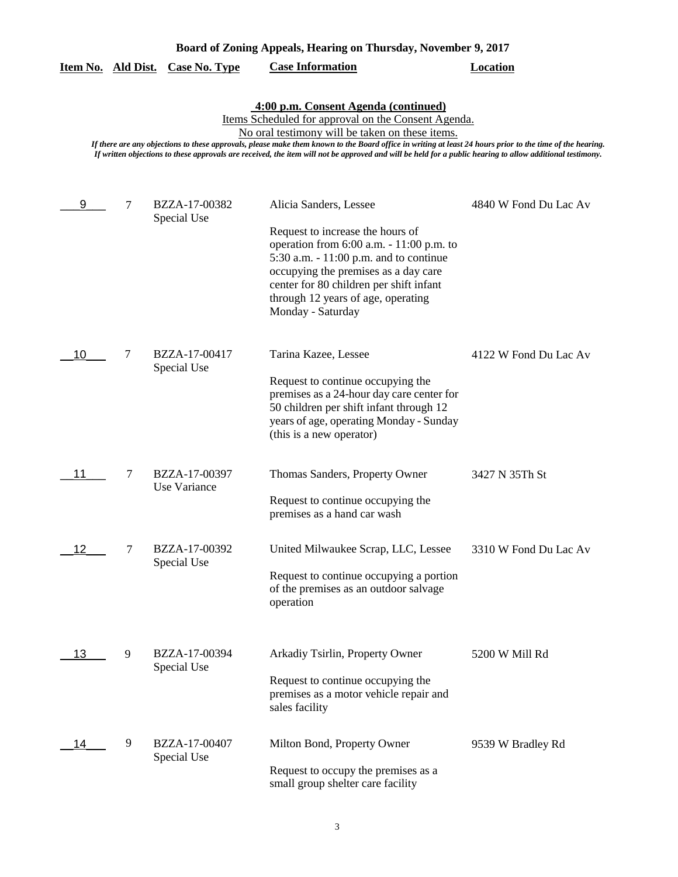| Board of Zoning Appeals, Hearing on Thursday, November 9, 2017 |  |  |
|----------------------------------------------------------------|--|--|
|                                                                |  |  |

|  |  | Item No. Ald Dist. Case No. Type | <b>Case Information</b> | Location |
|--|--|----------------------------------|-------------------------|----------|
|--|--|----------------------------------|-------------------------|----------|

**4:00 p.m. Consent Agenda (continued)**

Items Scheduled for approval on the Consent Agenda.

No oral testimony will be taken on these items.

*If there are any objections to these approvals, please make them known to the Board office in writing at least 24 hours prior to the time of the hearing. If written objections to these approvals are received, the item will not be approved and will be held for a public hearing to allow additional testimony.*

| 9  | 7 | BZZA-17-00382<br>Special Use  | Alicia Sanders, Lessee<br>Request to increase the hours of<br>operation from 6:00 a.m. - 11:00 p.m. to<br>5:30 a.m. - 11:00 p.m. and to continue<br>occupying the premises as a day care<br>center for 80 children per shift infant<br>through 12 years of age, operating | 4840 W Fond Du Lac Av |
|----|---|-------------------------------|---------------------------------------------------------------------------------------------------------------------------------------------------------------------------------------------------------------------------------------------------------------------------|-----------------------|
|    |   |                               | Monday - Saturday                                                                                                                                                                                                                                                         |                       |
| 10 | 7 | BZZA-17-00417<br>Special Use  | Tarina Kazee, Lessee<br>Request to continue occupying the<br>premises as a 24-hour day care center for<br>50 children per shift infant through 12<br>years of age, operating Monday - Sunday<br>(this is a new operator)                                                  | 4122 W Fond Du Lac Av |
| 11 | 7 | BZZA-17-00397<br>Use Variance | Thomas Sanders, Property Owner<br>Request to continue occupying the<br>premises as a hand car wash                                                                                                                                                                        | 3427 N 35Th St        |
| 12 | 7 | BZZA-17-00392<br>Special Use  | United Milwaukee Scrap, LLC, Lessee<br>Request to continue occupying a portion<br>of the premises as an outdoor salvage<br>operation                                                                                                                                      | 3310 W Fond Du Lac Av |
| 13 | 9 | BZZA-17-00394<br>Special Use  | Arkadiy Tsirlin, Property Owner<br>Request to continue occupying the<br>premises as a motor vehicle repair and<br>sales facility                                                                                                                                          | 5200 W Mill Rd        |
| 14 | 9 | BZZA-17-00407<br>Special Use  | Milton Bond, Property Owner<br>Request to occupy the premises as a<br>small group shelter care facility                                                                                                                                                                   | 9539 W Bradley Rd     |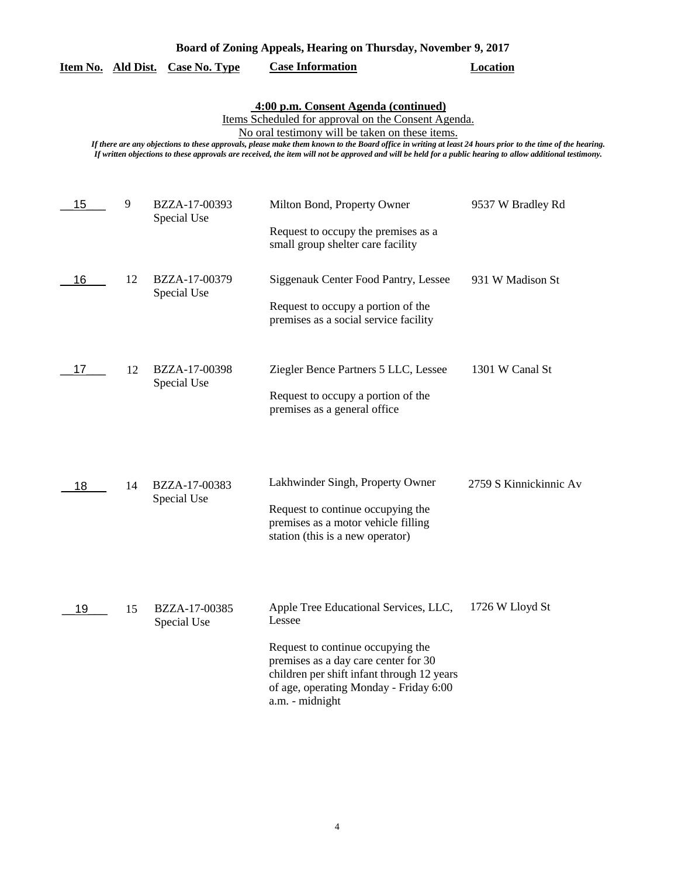| Board of Zoning Appeals, Hearing on Thursday, November 9, 2017 |  |  |
|----------------------------------------------------------------|--|--|
|                                                                |  |  |

|  |  | Item No. Ald Dist. Case No. Type | <b>Case Information</b> | Location |
|--|--|----------------------------------|-------------------------|----------|
|--|--|----------------------------------|-------------------------|----------|

# **4:00 p.m. Consent Agenda (continued)**

Items Scheduled for approval on the Consent Agenda.

No oral testimony will be taken on these items.

*If there are any objections to these approvals, please make them known to the Board office in writing at least 24 hours prior to the time of the hearing. If written objections to these approvals are received, the item will not be approved and will be held for a public hearing to allow additional testimony.*

| 15 | 9  | BZZA-17-00393<br>Special Use | Milton Bond, Property Owner                                                                                                                                                          | 9537 W Bradley Rd      |
|----|----|------------------------------|--------------------------------------------------------------------------------------------------------------------------------------------------------------------------------------|------------------------|
|    |    |                              | Request to occupy the premises as a<br>small group shelter care facility                                                                                                             |                        |
| 16 | 12 | BZZA-17-00379<br>Special Use | Siggenauk Center Food Pantry, Lessee                                                                                                                                                 | 931 W Madison St       |
|    |    |                              | Request to occupy a portion of the<br>premises as a social service facility                                                                                                          |                        |
| 17 | 12 | BZZA-17-00398<br>Special Use | Ziegler Bence Partners 5 LLC, Lessee                                                                                                                                                 | 1301 W Canal St        |
|    |    |                              | Request to occupy a portion of the<br>premises as a general office                                                                                                                   |                        |
| 18 | 14 | BZZA-17-00383                | Lakhwinder Singh, Property Owner                                                                                                                                                     | 2759 S Kinnickinnic Av |
|    |    | Special Use                  | Request to continue occupying the<br>premises as a motor vehicle filling<br>station (this is a new operator)                                                                         |                        |
| 19 | 15 | BZZA-17-00385<br>Special Use | Apple Tree Educational Services, LLC,<br>Lessee                                                                                                                                      | 1726 W Lloyd St        |
|    |    |                              | Request to continue occupying the<br>premises as a day care center for 30<br>children per shift infant through 12 years<br>of age, operating Monday - Friday 6:00<br>a.m. - midnight |                        |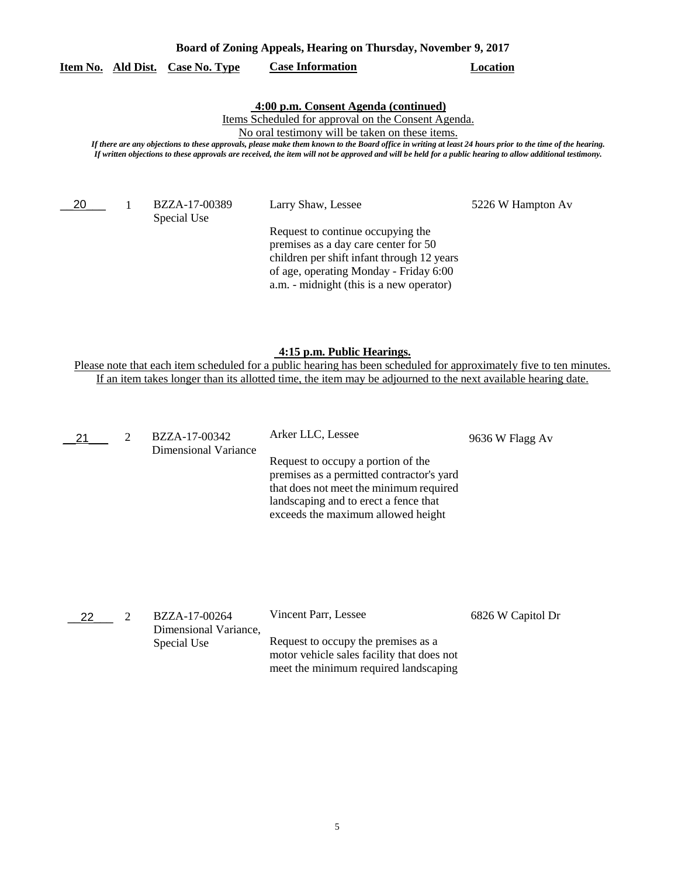| Board of Zoning Appeals, Hearing on Thursday, November 9, 2017 |  |  |
|----------------------------------------------------------------|--|--|
|                                                                |  |  |

## **Item No. Ald Dist. Case No. Type Case Information Location**

## **4:00 p.m. Consent Agenda (continued)**

Items Scheduled for approval on the Consent Agenda.

No oral testimony will be taken on these items.

*If there are any objections to these approvals, please make them known to the Board office in writing at least 24 hours prior to the time of the hearing. If written objections to these approvals are received, the item will not be approved and will be held for a public hearing to allow additional testimony.*

20<sup>1</sup>

Special Use

BZZA-17-00389 Larry Shaw, Lessee 5226 W Hampton Av

Request to continue occupying the premises as a day care center for 50 children per shift infant through 12 years of age, operating Monday - Friday 6:00 a.m. - midnight (this is a new operator)

**4:15 p.m. Public Hearings.**

| 21 | BZZA-17-00342<br>Dimensional Variance | Arker LLC, Lessee                                                                                                                                                                                         | 9636 W Flagg Av |
|----|---------------------------------------|-----------------------------------------------------------------------------------------------------------------------------------------------------------------------------------------------------------|-----------------|
|    |                                       | Request to occupy a portion of the<br>premises as a permitted contractor's yard<br>that does not meet the minimum required<br>landscaping and to erect a fence that<br>exceeds the maximum allowed height |                 |
|    |                                       |                                                                                                                                                                                                           |                 |

| 22 | BZZA-17-00264                        | Vincent Parr, Lessee                                                              | 6826 W Capitol Dr |
|----|--------------------------------------|-----------------------------------------------------------------------------------|-------------------|
|    | Dimensional Variance,<br>Special Use | Request to occupy the premises as a<br>motor vehicle sales facility that does not |                   |
|    |                                      | meet the minimum required landscaping                                             |                   |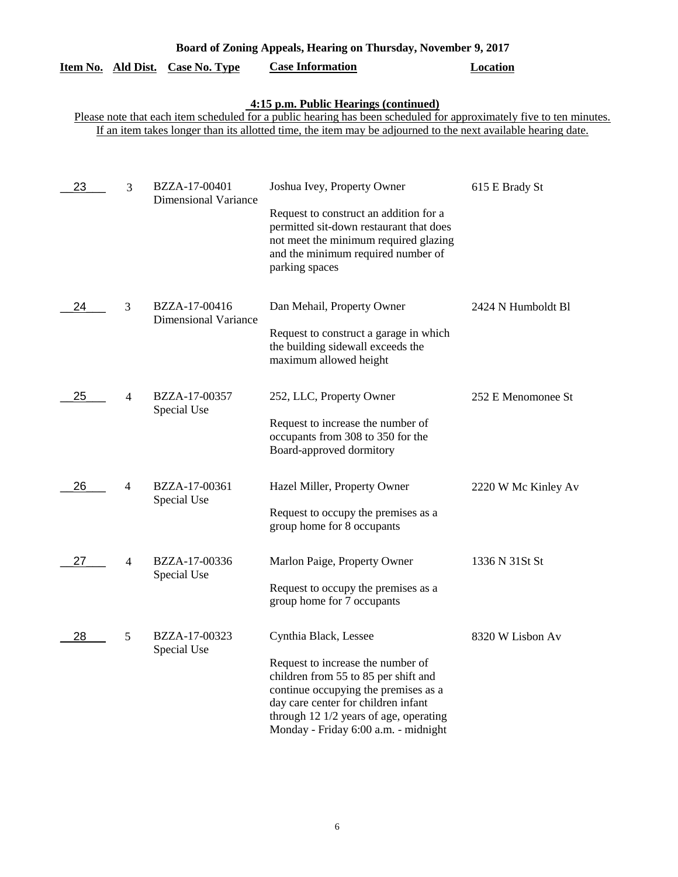| Board of Zoning Appeals, Hearing on Thursday, November 9, 2017 |  |  |  |
|----------------------------------------------------------------|--|--|--|
|                                                                |  |  |  |

|  |  | Item No. Ald Dist. Case No. Type | <b>Case Information</b> | Location |
|--|--|----------------------------------|-------------------------|----------|
|--|--|----------------------------------|-------------------------|----------|

#### **4:15 p.m. Public Hearings (continued)**

| 23 | 3              | BZZA-17-00401<br><b>Dimensional Variance</b> | Joshua Ivey, Property Owner<br>Request to construct an addition for a<br>permitted sit-down restaurant that does<br>not meet the minimum required glazing<br>and the minimum required number of<br>parking spaces                                                   | 615 E Brady St      |
|----|----------------|----------------------------------------------|---------------------------------------------------------------------------------------------------------------------------------------------------------------------------------------------------------------------------------------------------------------------|---------------------|
| 24 | 3              | BZZA-17-00416<br><b>Dimensional Variance</b> | Dan Mehail, Property Owner<br>Request to construct a garage in which<br>the building sidewall exceeds the<br>maximum allowed height                                                                                                                                 | 2424 N Humboldt Bl  |
| 25 | 4              | BZZA-17-00357<br>Special Use                 | 252, LLC, Property Owner<br>Request to increase the number of<br>occupants from 308 to 350 for the<br>Board-approved dormitory                                                                                                                                      | 252 E Menomonee St  |
| 26 | 4              | BZZA-17-00361<br>Special Use                 | Hazel Miller, Property Owner<br>Request to occupy the premises as a<br>group home for 8 occupants                                                                                                                                                                   | 2220 W Mc Kinley Av |
| 27 | $\overline{4}$ | BZZA-17-00336<br>Special Use                 | Marlon Paige, Property Owner<br>Request to occupy the premises as a<br>group home for 7 occupants                                                                                                                                                                   | 1336 N 31St St      |
| 28 | 5              | BZZA-17-00323<br>Special Use                 | Cynthia Black, Lessee<br>Request to increase the number of<br>children from 55 to 85 per shift and<br>continue occupying the premises as a<br>day care center for children infant<br>through 12 1/2 years of age, operating<br>Monday - Friday 6:00 a.m. - midnight | 8320 W Lisbon Av    |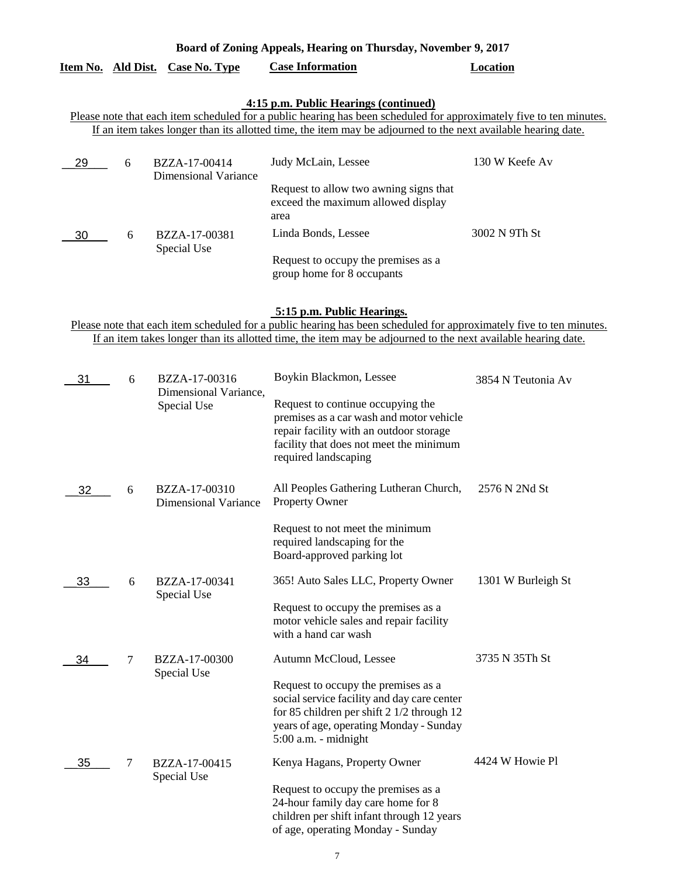| Item No. | Ald Dist. | Case No. Type                         | <b>Case Information</b>                                                                                             | Location       |
|----------|-----------|---------------------------------------|---------------------------------------------------------------------------------------------------------------------|----------------|
|          |           |                                       | 4:15 p.m. Public Hearings (continued)                                                                               |                |
|          |           |                                       | Please note that each item scheduled for a public hearing has been scheduled for approximately five to ten minutes. |                |
|          |           |                                       | If an item takes longer than its allotted time, the item may be adjourned to the next available hearing date.       |                |
| 29       | -6        | BZZA-17-00414<br>Dimensional Variance | Judy McLain, Lessee                                                                                                 | 130 W Keefe Av |
|          |           |                                       | Request to allow two awning signs that<br>exceed the maximum allowed display<br>area                                |                |
| 30       | 6         | BZZA-17-00381<br>Special Use          | Linda Bonds, Lessee                                                                                                 | 3002 N 9Th St  |
|          |           |                                       | Request to occupy the premises as a<br>group home for 8 occupants                                                   |                |

**Board of Zoning Appeals, Hearing on Thursday, November 9, 2017** 

## **5:15 p.m. Public Hearings.**

| 31 | 6 | BZZA-17-00316                                | Boykin Blackmon, Lessee                                                                                                                                                                               | 3854 N Teutonia Av |
|----|---|----------------------------------------------|-------------------------------------------------------------------------------------------------------------------------------------------------------------------------------------------------------|--------------------|
|    |   | Dimensional Variance,<br>Special Use         | Request to continue occupying the<br>premises as a car wash and motor vehicle<br>repair facility with an outdoor storage<br>facility that does not meet the minimum<br>required landscaping           |                    |
| 32 | 6 | BZZA-17-00310<br><b>Dimensional Variance</b> | All Peoples Gathering Lutheran Church,<br>Property Owner                                                                                                                                              | 2576 N 2Nd St      |
|    |   |                                              | Request to not meet the minimum<br>required landscaping for the<br>Board-approved parking lot                                                                                                         |                    |
| 33 | 6 | BZZA-17-00341                                | 365! Auto Sales LLC, Property Owner                                                                                                                                                                   | 1301 W Burleigh St |
|    |   | Special Use                                  | Request to occupy the premises as a<br>motor vehicle sales and repair facility<br>with a hand car wash                                                                                                |                    |
| 34 | 7 | BZZA-17-00300<br>Special Use                 | Autumn McCloud, Lessee                                                                                                                                                                                | 3735 N 35Th St     |
|    |   |                                              | Request to occupy the premises as a<br>social service facility and day care center<br>for 85 children per shift 2 1/2 through 12<br>years of age, operating Monday - Sunday<br>$5:00$ a.m. - midnight |                    |
| 35 | 7 | BZZA-17-00415<br>Special Use                 | Kenya Hagans, Property Owner                                                                                                                                                                          | 4424 W Howie Pl    |
|    |   |                                              | Request to occupy the premises as a<br>24-hour family day care home for 8<br>children per shift infant through 12 years<br>of age, operating Monday - Sunday                                          |                    |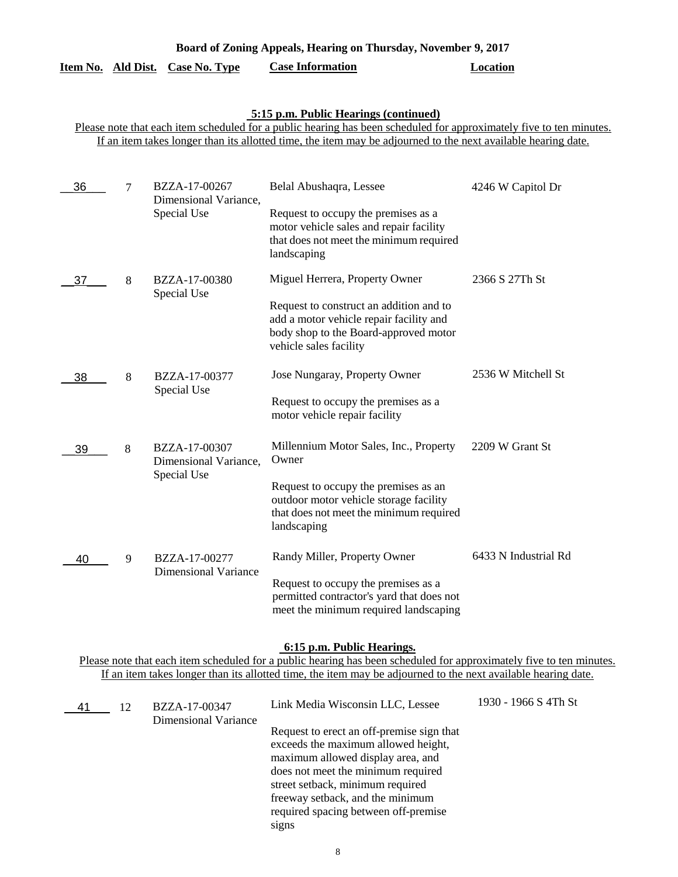| Board of Zoning Appeals, Hearing on Thursday, November 9, 2017 |
|----------------------------------------------------------------|
|----------------------------------------------------------------|

# **Item No. Ald Dist. Case No. Type Case Information Location**

# **5:15 p.m. Public Hearings (continued)**

Please note that each item scheduled for a public hearing has been scheduled for approximately five to ten minutes. If an item takes longer than its allotted time, the item may be adjourned to the next available hearing date.

| 36 | 7 | BZZA-17-00267<br>Dimensional Variance, | Belal Abushaqra, Lessee                                                                                                                               | 4246 W Capitol Dr    |
|----|---|----------------------------------------|-------------------------------------------------------------------------------------------------------------------------------------------------------|----------------------|
|    |   | Special Use                            | Request to occupy the premises as a<br>motor vehicle sales and repair facility<br>that does not meet the minimum required<br>landscaping              |                      |
| 37 | 8 | BZZA-17-00380<br>Special Use           | Miguel Herrera, Property Owner                                                                                                                        | 2366 S 27Th St       |
|    |   |                                        | Request to construct an addition and to<br>add a motor vehicle repair facility and<br>body shop to the Board-approved motor<br>vehicle sales facility |                      |
| 38 | 8 | BZZA-17-00377                          | Jose Nungaray, Property Owner                                                                                                                         | 2536 W Mitchell St   |
|    |   | Special Use                            | Request to occupy the premises as a<br>motor vehicle repair facility                                                                                  |                      |
| 39 | 8 | BZZA-17-00307<br>Dimensional Variance, | Millennium Motor Sales, Inc., Property<br>Owner                                                                                                       | 2209 W Grant St      |
|    |   | Special Use                            | Request to occupy the premises as an<br>outdoor motor vehicle storage facility<br>that does not meet the minimum required<br>landscaping              |                      |
| 40 | 9 | BZZA-17-00277                          | Randy Miller, Property Owner                                                                                                                          | 6433 N Industrial Rd |
|    |   | <b>Dimensional Variance</b>            | Request to occupy the premises as a<br>permitted contractor's yard that does not<br>meet the minimum required landscaping                             |                      |

#### **6:15 p.m. Public Hearings.**

| 41 | 12 | BZZA-17-00347        | Link Media Wisconsin LLC, Lessee                                                                                                                                                                                                                                                     | 1930 - 1966 S 4Th St |
|----|----|----------------------|--------------------------------------------------------------------------------------------------------------------------------------------------------------------------------------------------------------------------------------------------------------------------------------|----------------------|
|    |    | Dimensional Variance | Request to erect an off-premise sign that<br>exceeds the maximum allowed height,<br>maximum allowed display area, and<br>does not meet the minimum required<br>street setback, minimum required<br>freeway setback, and the minimum<br>required spacing between off-premise<br>signs |                      |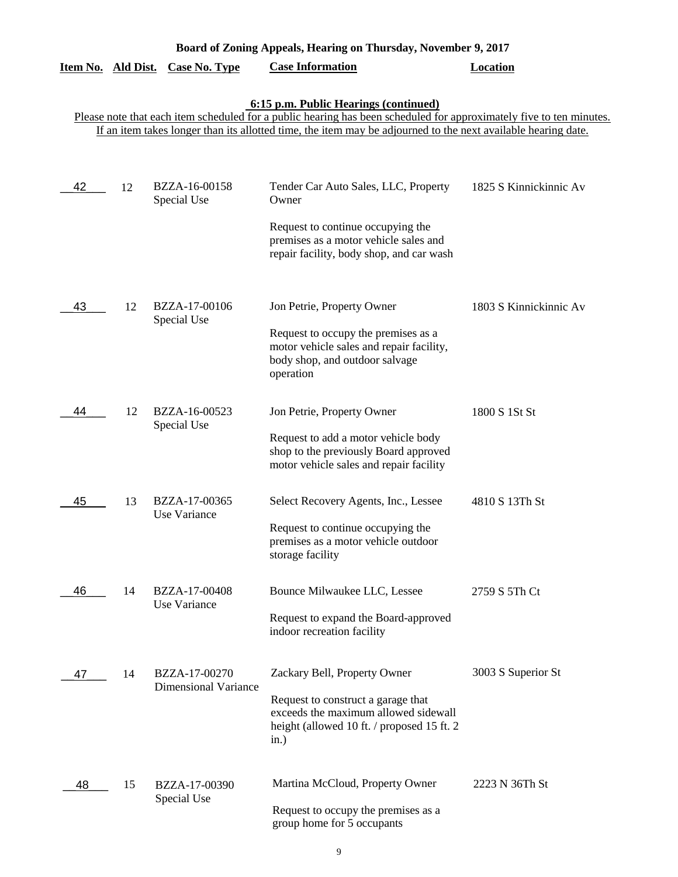| Board of Zoning Appeals, Hearing on Thursday, November 9, 2017 |    |                                              |                                                                                                                                                                                                                                                                               |                        |  |
|----------------------------------------------------------------|----|----------------------------------------------|-------------------------------------------------------------------------------------------------------------------------------------------------------------------------------------------------------------------------------------------------------------------------------|------------------------|--|
| Item No. Ald Dist.                                             |    | <b>Case No. Type</b>                         | <b>Case Information</b>                                                                                                                                                                                                                                                       | <b>Location</b>        |  |
|                                                                |    |                                              | 6:15 p.m. Public Hearings (continued)<br>Please note that each item scheduled for a public hearing has been scheduled for approximately five to ten minutes.<br>If an item takes longer than its allotted time, the item may be adjourned to the next available hearing date. |                        |  |
| 42                                                             | 12 | BZZA-16-00158<br>Special Use                 | Tender Car Auto Sales, LLC, Property<br>Owner                                                                                                                                                                                                                                 | 1825 S Kinnickinnic Av |  |
|                                                                |    |                                              | Request to continue occupying the<br>premises as a motor vehicle sales and<br>repair facility, body shop, and car wash                                                                                                                                                        |                        |  |
| 43                                                             | 12 | BZZA-17-00106<br>Special Use                 | Jon Petrie, Property Owner<br>Request to occupy the premises as a<br>motor vehicle sales and repair facility,<br>body shop, and outdoor salvage<br>operation                                                                                                                  | 1803 S Kinnickinnic Av |  |
| 44                                                             | 12 | BZZA-16-00523<br>Special Use                 | Jon Petrie, Property Owner<br>Request to add a motor vehicle body<br>shop to the previously Board approved<br>motor vehicle sales and repair facility                                                                                                                         | 1800 S 1St St          |  |
| 45                                                             | 13 | BZZA-17-00365<br>Use Variance                | Select Recovery Agents, Inc., Lessee<br>Request to continue occupying the<br>premises as a motor vehicle outdoor<br>storage facility                                                                                                                                          | 4810 S 13Th St         |  |
| 46                                                             | 14 | BZZA-17-00408<br>Use Variance                | Bounce Milwaukee LLC, Lessee<br>Request to expand the Board-approved<br>indoor recreation facility                                                                                                                                                                            | 2759 S 5Th Ct          |  |
| 47                                                             | 14 | BZZA-17-00270<br><b>Dimensional Variance</b> | Zackary Bell, Property Owner<br>Request to construct a garage that<br>exceeds the maximum allowed sidewall<br>height (allowed 10 ft. / proposed 15 ft. 2<br>in.)                                                                                                              | 3003 S Superior St     |  |
| 48                                                             | 15 | BZZA-17-00390<br>Special Use                 | Martina McCloud, Property Owner<br>Request to occupy the premises as a<br>group home for 5 occupants                                                                                                                                                                          | 2223 N 36Th St         |  |